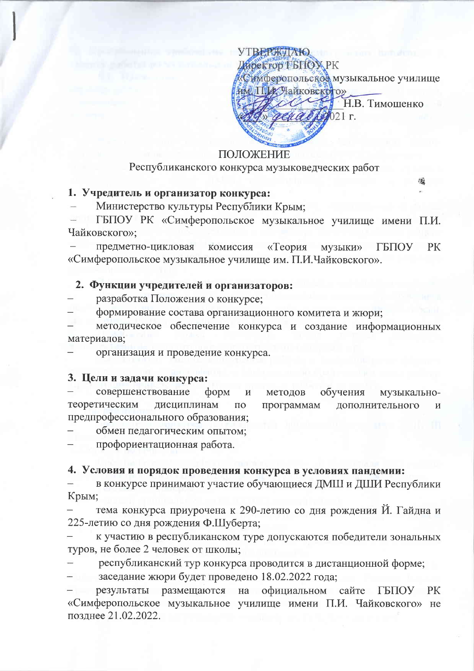**YTBERMIAIO** Директор ГБПОХ РК «Симферопольское музыкальное училище им. Пр. Чайковского» Н.В. Тимошенко  $021r$ .

## ПОЛОЖЕНИЕ

## Республиканского конкурса музыковедческих работ

# 1. Учредитель и организатор конкурса:

Министерство культуры Республики Крым;

ГБПОУ РК «Симферопольское музыкальное училище имени П.И. Чайковского»;

предметно-цикловая комиссия «Теория **ГБПОУ PK** музыки» «Симферопольское музыкальное училище им. П.И.Чайковского».

### 2. Функции учредителей и организаторов:

разработка Положения о конкурсе;

формирование состава организационного комитета и жюри;

методическое обеспечение конкурса и создание информационных материалов;

организация и проведение конкурса.

#### 3. Цели и задачи конкурса:

совершенствование форм  $\overline{M}$ метолов обучения музыкальнотеоретическим дисциплинам  $\Pi$ O программам дополнительного  $\overline{\mathbf{M}}$ предпрофессионального образования;

обмен педагогическим опытом;

профориентационная работа.

### 4. Условия и порядок проведения конкурса в условиях пандемии:

в конкурсе принимают участие обучающиеся ДМШ и ДШИ Республики Крым;

тема конкурса приурочена к 290-летию со дня рождения Й. Гайдна и 225-летию со дня рождения Ф.Шуберта;

к участию в республиканском туре допускаются победители зональных туров, не более 2 человек от школы;

республиканский тур конкурса проводится в дистанционной форме;

заседание жюри будет проведено 18.02.2022 года;

официальном сайте ГБПОУ результаты размещаются на PK «Симферопольское музыкальное училище имени П.И. Чайковского» не позднее 21.02.2022.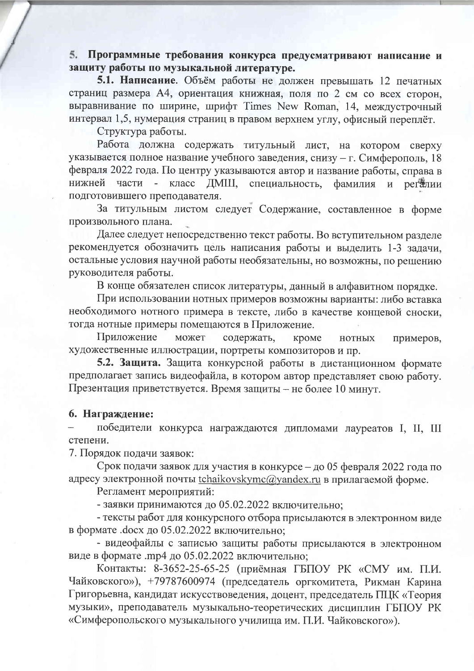5. Программные требования конкурса предусматривают написание и защиту работы по музыкальной литературе.

5.1. Написание. Объём работы не должен превышать 12 печатных страниц размера А4, ориентация книжная, поля по 2 см со всех сторон, выравнивание по ширине, шрифт Times New Roman, 14, междустрочный интервал 1,5, нумерация страниц в правом верхнем углу, офисный переплёт.

Структура работы.

Работа должна содержать титульный лист, на котором сверху указывается полное название учебного заведения, снизу - г. Симферополь, 18 февраля 2022 года. По центру указываются автор и название работы, справа в нижней части ДМШ, специальность,  $\blacksquare$ класс фамилия и регалии подготовившего преподавателя.

За титульным листом следует Содержание, составленное в форме произвольного плана.

Далее следует непосредственно текст работы. Во вступительном разделе рекомендуется обозначить цель написания работы и выделить 1-3 задачи, остальные условия научной работы необязательны, но возможны, по решению руководителя работы.

В конце обязателен список литературы, данный в алфавитном порядке.

При использовании нотных примеров возможны варианты: либо вставка необходимого нотного примера в тексте, либо в качестве концевой сноски, тогда нотные примеры помещаются в Приложение.

Приложение может содержать, кроме **НОТНЫХ** примеров, художественные иллюстрации, портреты композиторов и пр.

5.2. Защита. Защита конкурсной работы в дистанционном формате предполагает запись видеофайла, в котором автор представляет свою работу. Презентация приветствуется. Время защиты - не более 10 минут.

### 6. Награждение:

победители конкурса награждаются дипломами лауреатов I, II, III степени.

7. Порядок подачи заявок:

Срок подачи заявок для участия в конкурсе - до 05 февраля 2022 года по адресу электронной почты tchaikovskymc@yandex.ru в прилагаемой форме.

Регламент мероприятий:

- заявки принимаются до 05.02.2022 включительно;

- тексты работ для конкурсного отбора присылаются в электронном виде в формате .docx до 05.02.2022 включительно;

- видеофайлы с записью защиты работы присылаются в электронном виде в формате .mp4 до 05.02.2022 включительно;

Контакты: 8-3652-25-65-25 (приёмная ГБПОУ РК «СМУ им. П.И. Чайковского»), +79787600974 (председатель оргкомитета, Рикман Карина Григорьевна, кандидат искусствоведения, доцент, председатель ПЦК «Теория музыки», преподаватель музыкально-теоретических дисциплин ГБПОУ РК «Симферопольского музыкального училища им. П.И. Чайковского»).